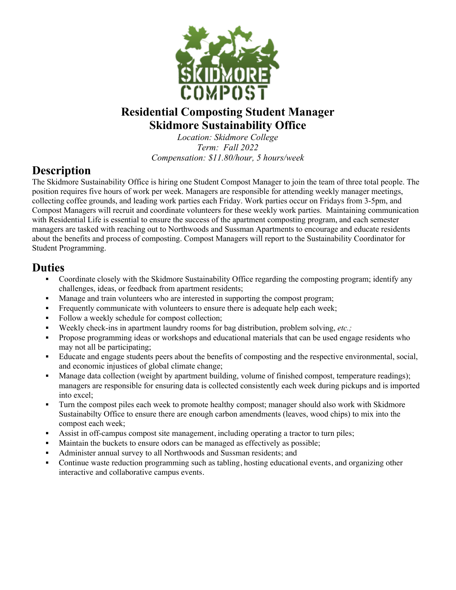

## **Residential Composting Student Manager Skidmore Sustainability Office**

*Location: Skidmore College Term: Fall 2022 Compensation: \$11.80/hour, 5 hours/week*

## **Description**

The Skidmore Sustainability Office is hiring one Student Compost Manager to join the team of three total people. The position requires five hours of work per week. Managers are responsible for attending weekly manager meetings, collecting coffee grounds, and leading work parties each Friday. Work parties occur on Fridays from 3-5pm, and Compost Managers will recruit and coordinate volunteers for these weekly work parties. Maintaining communication with Residential Life is essential to ensure the success of the apartment composting program, and each semester managers are tasked with reaching out to Northwoods and Sussman Apartments to encourage and educate residents about the benefits and process of composting. Compost Managers will report to the Sustainability Coordinator for Student Programming.

## **Duties**

- Coordinate closely with the Skidmore Sustainability Office regarding the composting program; identify any challenges, ideas, or feedback from apartment residents;
- Manage and train volunteers who are interested in supporting the compost program;
- Frequently communicate with volunteers to ensure there is adequate help each week;
- Follow a weekly schedule for compost collection;
- Weekly check-ins in apartment laundry rooms for bag distribution, problem solving, *etc.*;
- § Propose programming ideas or workshops and educational materials that can be used engage residents who may not all be participating;
- Educate and engage students peers about the benefits of composting and the respective environmental, social, and economic injustices of global climate change;
- Manage data collection (weight by apartment building, volume of finished compost, temperature readings); managers are responsible for ensuring data is collected consistently each week during pickups and is imported into excel;
- Turn the compost piles each week to promote healthy compost; manager should also work with Skidmore Sustainabilty Office to ensure there are enough carbon amendments (leaves, wood chips) to mix into the compost each week;
- Assist in off-campus compost site management, including operating a tractor to turn piles;
- Maintain the buckets to ensure odors can be managed as effectively as possible;
- Administer annual survey to all Northwoods and Sussman residents; and
- Continue waste reduction programming such as tabling, hosting educational events, and organizing other interactive and collaborative campus events.